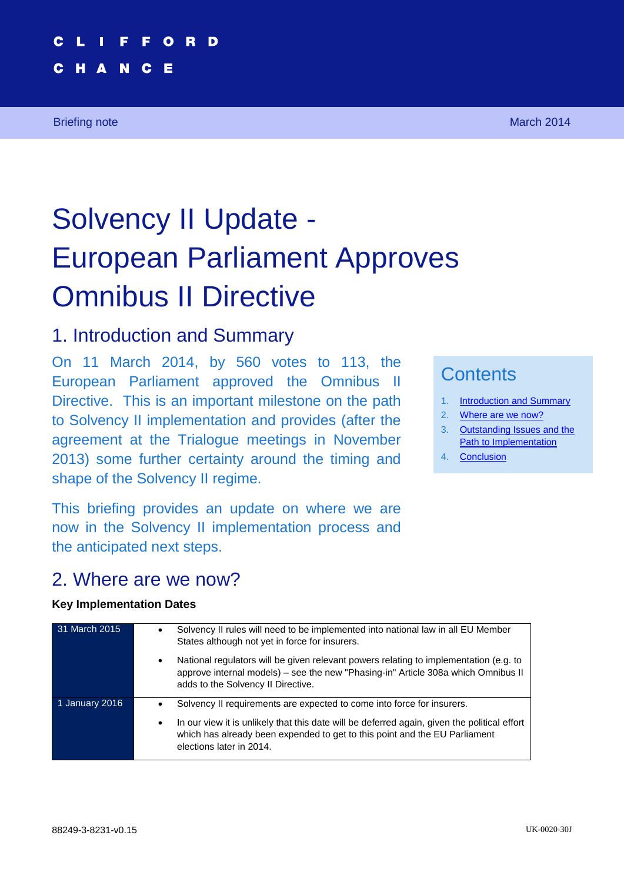### **2 1 F F O R D European Parliament Approves Omnibus II Directive**

# Solvency II Update - European Parliament Approves Omnibus II Directive

### <span id="page-0-0"></span>1. Introduction and Summary

On 11 March 2014, by 560 votes to 113, the European Parliament approved the Omnibus II Directive. This is an important milestone on the path to Solvency II implementation and provides (after the agreement at the Trialogue meetings in November 2013) some further certainty around the timing and shape of the Solvency II regime.

This briefing provides an update on where we are now in the Solvency II implementation process and the anticipated next steps.

## **Contents**

- 1. [Introduction and Summary](#page-0-0)
- 2. [Where are we now?](#page-0-1)
- 3. [Outstanding Issues and the](#page-3-0)  [Path to Implementation](#page-3-0)
- 4. [Conclusion](#page-4-0)

### <span id="page-0-1"></span>2. Where are we now?

#### **Key Implementation Dates**

| 31 March 2015  | Solvency II rules will need to be implemented into national law in all EU Member<br>States although not yet in force for insurers.                                                                                                                                                            |
|----------------|-----------------------------------------------------------------------------------------------------------------------------------------------------------------------------------------------------------------------------------------------------------------------------------------------|
|                | National regulators will be given relevant powers relating to implementation (e.g. to<br>approve internal models) – see the new "Phasing-in" Article 308a which Omnibus II<br>adds to the Solvency II Directive.                                                                              |
| 1 January 2016 | Solvency II requirements are expected to come into force for insurers.<br>In our view it is unlikely that this date will be deferred again, given the political effort<br>$\bullet$<br>which has already been expended to get to this point and the EU Parliament<br>elections later in 2014. |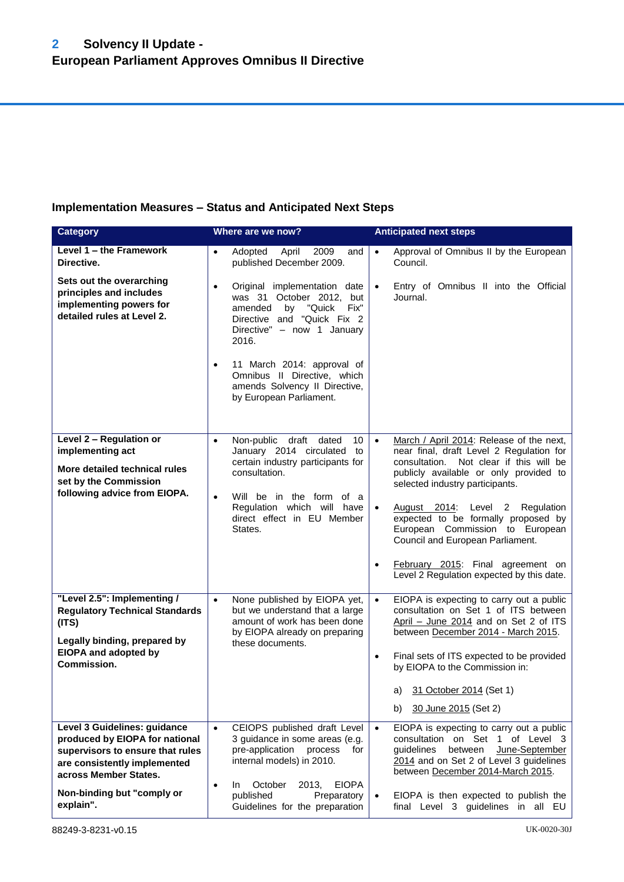#### **Implementation Measures – Status and Anticipated Next Steps**

| <b>Category</b><br>Where are we now?                                                                                                                        |                                                                                                                                                                                                                                                                                                                     | <b>Anticipated next steps</b>                                                                                                                                                                                                                                                                                                                                                                                                                                             |
|-------------------------------------------------------------------------------------------------------------------------------------------------------------|---------------------------------------------------------------------------------------------------------------------------------------------------------------------------------------------------------------------------------------------------------------------------------------------------------------------|---------------------------------------------------------------------------------------------------------------------------------------------------------------------------------------------------------------------------------------------------------------------------------------------------------------------------------------------------------------------------------------------------------------------------------------------------------------------------|
| Level 1 - the Framework<br>Directive.<br>Sets out the overarching                                                                                           | Adopted<br>2009<br>$\bullet$<br>April<br>and<br>published December 2009.                                                                                                                                                                                                                                            | Approval of Omnibus II by the European<br>$\bullet$<br>Council.                                                                                                                                                                                                                                                                                                                                                                                                           |
| principles and includes<br>implementing powers for<br>detailed rules at Level 2.                                                                            | Original implementation date<br>$\bullet$<br>was 31 October 2012, but<br>amended<br>by<br>"Quick<br>Fix"<br>Directive and "Quick Fix 2<br>Directive" - now 1 January<br>2016.<br>11 March 2014: approval of<br>$\bullet$<br>Omnibus II Directive, which<br>amends Solvency II Directive,<br>by European Parliament. | Entry of Omnibus II into the Official<br>Journal.                                                                                                                                                                                                                                                                                                                                                                                                                         |
| Level 2 - Regulation or<br>implementing act<br>More detailed technical rules<br>set by the Commission<br>following advice from EIOPA.                       | Non-public<br>draft<br>dated<br>10<br>$\bullet$<br>January 2014 circulated to<br>certain industry participants for<br>consultation.<br>Will be in the form of a<br>$\bullet$<br>Regulation which will have<br>direct effect in EU Member<br>States.                                                                 | March / April 2014: Release of the next,<br>$\bullet$<br>near final, draft Level 2 Regulation for<br>consultation. Not clear if this will be<br>publicly available or only provided to<br>selected industry participants.<br>August 2014: Level 2 Regulation<br>expected to be formally proposed by<br>European Commission to European<br>Council and European Parliament.<br>February 2015: Final agreement on<br>$\bullet$<br>Level 2 Regulation expected by this date. |
| "Level 2.5": Implementing /<br><b>Regulatory Technical Standards</b><br>(ITS)<br>Legally binding, prepared by<br><b>EIOPA and adopted by</b>                | None published by EIOPA yet,<br>$\bullet$<br>but we understand that a large<br>amount of work has been done<br>by EIOPA already on preparing<br>these documents.                                                                                                                                                    | EIOPA is expecting to carry out a public<br>$\bullet$<br>consultation on Set 1 of ITS between<br>April - June 2014 and on Set 2 of ITS<br>between December 2014 - March 2015.<br>Final sets of ITS expected to be provided<br>$\bullet$                                                                                                                                                                                                                                   |
| Commission.                                                                                                                                                 |                                                                                                                                                                                                                                                                                                                     | by EIOPA to the Commission in:<br>31 October 2014 (Set 1)<br>a)<br>30 June 2015 (Set 2)<br>b)                                                                                                                                                                                                                                                                                                                                                                             |
| Level 3 Guidelines: guidance<br>produced by EIOPA for national<br>supervisors to ensure that rules<br>are consistently implemented<br>across Member States. | CEIOPS published draft Level<br>$\bullet$<br>3 guidance in some areas (e.g.<br>pre-application<br>process<br>for<br>internal models) in 2010.<br>October<br>2013,<br><b>EIOPA</b><br>$\bullet$<br>In.                                                                                                               | EIOPA is expecting to carry out a public<br>consultation on Set 1 of Level 3<br>between<br>June-September<br>quidelines<br>2014 and on Set 2 of Level 3 guidelines<br>between December 2014-March 2015.                                                                                                                                                                                                                                                                   |
| Non-binding but "comply or<br>explain".                                                                                                                     | published<br>Preparatory<br>Guidelines for the preparation                                                                                                                                                                                                                                                          | EIOPA is then expected to publish the<br>final Level 3 guidelines in all EU                                                                                                                                                                                                                                                                                                                                                                                               |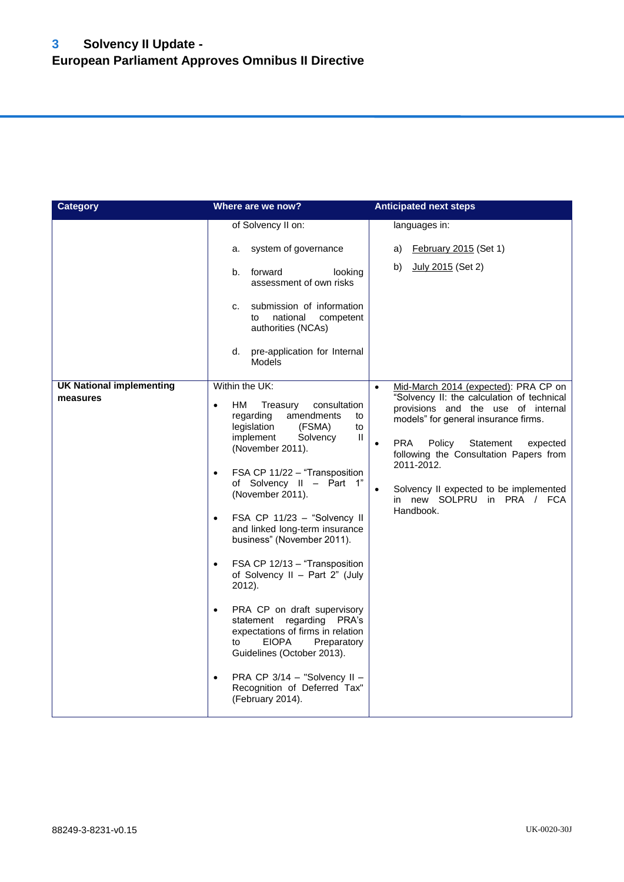| <b>Category</b><br>Where are we now?        |                                                                                                                                                                                                                                                                                                                                                                                                                                                                                                                                                                                                                                                                                                                                                                       | <b>Anticipated next steps</b>                                                                                                                                                                                                                                                                                                                                                                         |
|---------------------------------------------|-----------------------------------------------------------------------------------------------------------------------------------------------------------------------------------------------------------------------------------------------------------------------------------------------------------------------------------------------------------------------------------------------------------------------------------------------------------------------------------------------------------------------------------------------------------------------------------------------------------------------------------------------------------------------------------------------------------------------------------------------------------------------|-------------------------------------------------------------------------------------------------------------------------------------------------------------------------------------------------------------------------------------------------------------------------------------------------------------------------------------------------------------------------------------------------------|
|                                             | of Solvency II on:<br>system of governance<br>a.<br>forward<br>looking<br>b.<br>assessment of own risks<br>submission of information<br>c.<br>national<br>competent<br>to<br>authorities (NCAs)<br>pre-application for Internal<br>d.<br><b>Models</b>                                                                                                                                                                                                                                                                                                                                                                                                                                                                                                                | languages in:<br>February 2015 (Set 1)<br>a)<br>July 2015 (Set 2)<br>b)                                                                                                                                                                                                                                                                                                                               |
| <b>UK National implementing</b><br>measures | Within the UK:<br>HМ<br>Treasury<br>consultation<br>$\bullet$<br>amendments<br>regarding<br>to<br>legislation<br>(FSMA)<br>to<br>implement<br>Solvency<br>Ш<br>(November 2011).<br>FSA CP 11/22 - "Transposition<br>$\bullet$<br>of Solvency II - Part 1"<br>(November 2011).<br>FSA CP 11/23 - "Solvency II<br>$\bullet$<br>and linked long-term insurance<br>business" (November 2011).<br>FSA CP 12/13 - "Transposition<br>$\bullet$<br>of Solvency II - Part 2" (July<br>2012).<br>PRA CP on draft supervisory<br>$\bullet$<br>statement regarding PRA's<br>expectations of firms in relation<br><b>EIOPA</b><br>Preparatory<br>to<br>Guidelines (October 2013).<br>PRA CP 3/14 - "Solvency II -<br>$\bullet$<br>Recognition of Deferred Tax"<br>(February 2014). | Mid-March 2014 (expected): PRA CP on<br>$\bullet$<br>"Solvency II: the calculation of technical<br>provisions and the use of internal<br>models" for general insurance firms.<br><b>PRA</b><br>Policy<br>Statement<br>expected<br>$\bullet$<br>following the Consultation Papers from<br>2011-2012.<br>Solvency II expected to be implemented<br>$\bullet$<br>in new SOLPRU in PRA / FCA<br>Handbook. |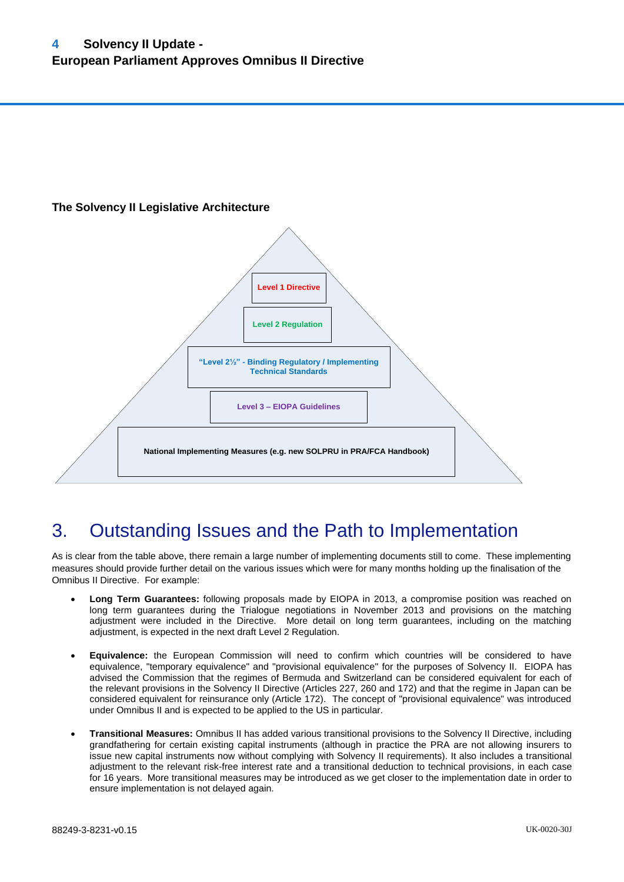#### **The Solvency II Legislative Architecture**



### <span id="page-3-0"></span>3. Outstanding Issues and the Path to Implementation

As is clear from the table above, there remain a large number of implementing documents still to come. These implementing measures should provide further detail on the various issues which were for many months holding up the finalisation of the Omnibus II Directive. For example:

- **Long Term Guarantees:** following proposals made by EIOPA in 2013, a compromise position was reached on long term guarantees during the Trialogue negotiations in November 2013 and provisions on the matching adjustment were included in the Directive. More detail on long term guarantees, including on the matching adjustment, is expected in the next draft Level 2 Regulation.
- **Equivalence:** the European Commission will need to confirm which countries will be considered to have equivalence, "temporary equivalence" and "provisional equivalence" for the purposes of Solvency II. EIOPA has advised the Commission that the regimes of Bermuda and Switzerland can be considered equivalent for each of the relevant provisions in the Solvency II Directive (Articles 227, 260 and 172) and that the regime in Japan can be considered equivalent for reinsurance only (Article 172). The concept of "provisional equivalence" was introduced under Omnibus II and is expected to be applied to the US in particular.
- **Transitional Measures:** Omnibus II has added various transitional provisions to the Solvency II Directive, including grandfathering for certain existing capital instruments (although in practice the PRA are not allowing insurers to issue new capital instruments now without complying with Solvency II requirements). It also includes a transitional adjustment to the relevant risk-free interest rate and a transitional deduction to technical provisions, in each case for 16 years. More transitional measures may be introduced as we get closer to the implementation date in order to ensure implementation is not delayed again.